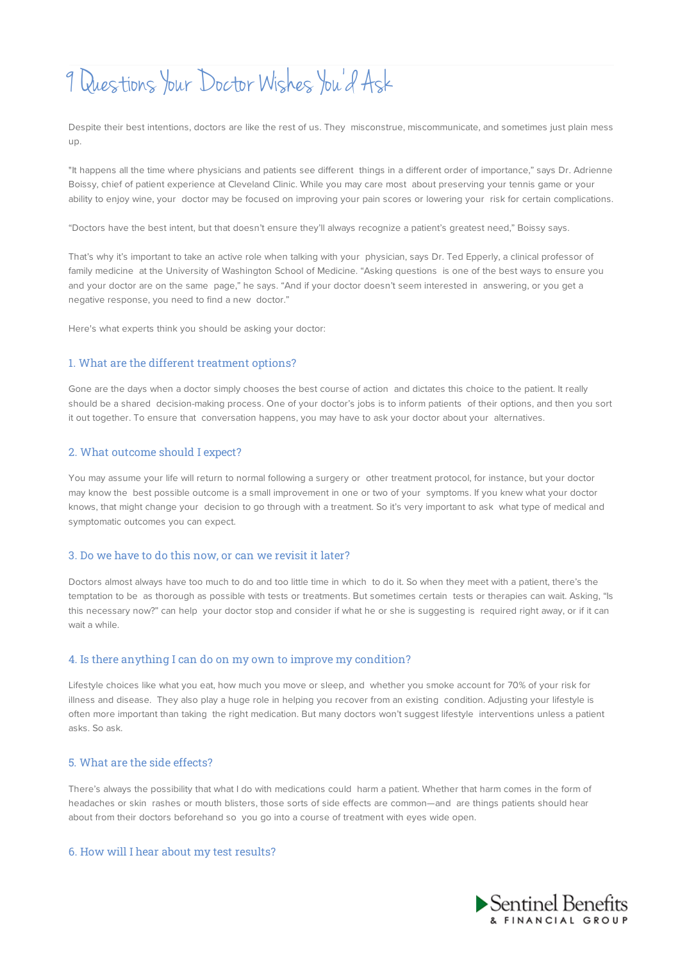# 9Questions Your Doctor Wishes You 'd Ask

Despite their best intentions, doctors are like the rest of us. They misconstrue, miscommunicate, and sometimes just plain mess up.

"It happens all the time where physicians and patients see different things in a different order of importance," says Dr. Adrienne Boissy, chief of patient experience at Cleveland Clinic. While you may care most about preserving your tennis game or your ability to enjoy wine, your doctor may be focused on improving your pain scores or lowering your risk for certain complications.

"Doctors have the best intent, but that doesn't ensure they'll always recognize a patient's greatest need," Boissy says.

That's why it's important to take an active role when talking with your physician, says Dr. Ted Epperly, a clinical professor of family medicine at the University of Washington School of Medicine. "Asking questions is one of the best ways to ensure you and your doctor are on the same page," he says. "And if your doctor doesn't seem interested in answering, or you get a negative response, you need to find a new doctor."

Here's what experts think you should be asking your doctor:

## 1. What are the different treatment options?

Gone are the days when a doctor simply chooses the best course of action and dictates this choice to the patient. It really should be a shared decision-making process. One of your doctor's jobs is to inform patients of their options, and then you sort it out together. To ensure that conversation happens, you may have to ask your doctor about your alternatives.

## 2. What outcome should I expect?

You may assume your life will return to normal following a surgery or other treatment protocol, for instance, but your doctor may know the best possible outcome is a small improvement in one or two of your symptoms. If you knew what your doctor knows, that might change your decision to go through with a treatment. So it's very important to ask what type of medical and symptomatic outcomes you can expect.

## 3. Do we have to do this now, or can we revisit it later?

Doctors almost always have too much to do and too little time in which to do it. So when they meet with a patient, there's the temptation to be as thorough as possible with tests or treatments. But sometimes certain tests or therapies can wait. Asking, "Is this necessary now?" can help your doctor stop and consider if what he or she is suggesting is required right away, or if it can wait a while.

#### 4. Is there anything I can do on my own to improve my condition?

Lifestyle choices like what you eat, how much you move or sleep, and whether you smoke account for 70% of your risk for illness and disease. They also play a huge role in helping you recover from an existing condition. Adjusting your lifestyle is often more important than taking the right medication. But many doctors won't suggest lifestyle interventions unless a patient asks. So ask.

#### 5. What are the side effects?

There's always the possibility that what I do with medications could harm a patient. Whether that harm comes in the form of headaches or skin rashes or mouth blisters, those sorts of side effects are common—and are things patients should hear about from their doctors beforehand so you go into a course of treatment with eyes wide open.

# 6. How will I hear about my test results?